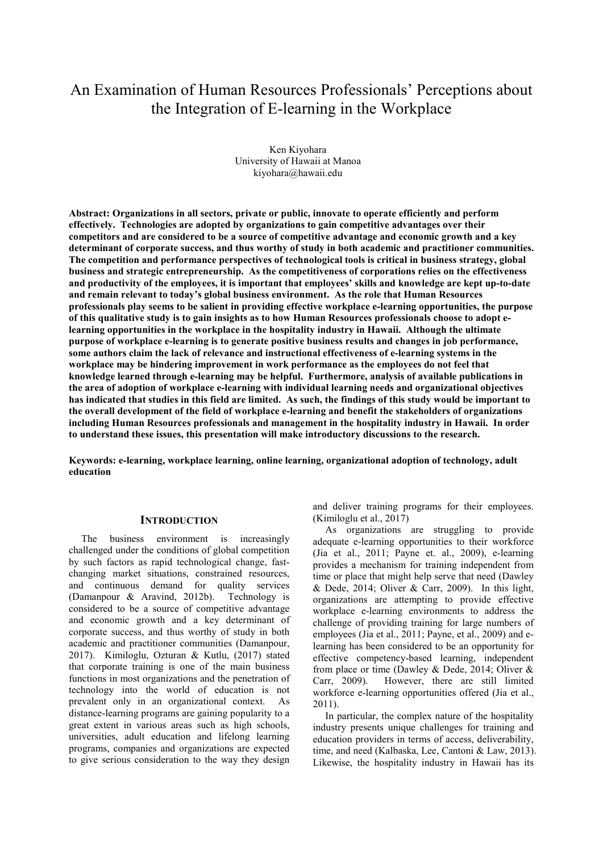# An Examination of Human Resources Professionals' Perceptions about the Integration of E-learning in the Workplace

Ken Kiyohara University of Hawaii at Manoa kiyohara@hawaii.edu

**Abstract: Organizations in all sectors, private or public, innovate to operate efficiently and perform effectively. Technologies are adopted by organizations to gain competitive advantages over their competitors and are considered to be a source of competitive advantage and economic growth and a key determinant of corporate success, and thus worthy of study in both academic and practitioner communities. The competition and performance perspectives of technological tools is critical in business strategy, global business and strategic entrepreneurship. As the competitiveness of corporations relies on the effectiveness and productivity of the employees, it is important that employees' skills and knowledge are kept up-to-date and remain relevant to today's global business environment. As the role that Human Resources professionals play seems to be salient in providing effective workplace e-learning opportunities, the purpose of this qualitative study is to gain insights as to how Human Resources professionals choose to adopt elearning opportunities in the workplace in the hospitality industry in Hawaii. Although the ultimate purpose of workplace e-learning is to generate positive business results and changes in job performance, some authors claim the lack of relevance and instructional effectiveness of e-learning systems in the workplace may be hindering improvement in work performance as the employees do not feel that knowledge learned through e-learning may be helpful. Furthermore, analysis of available publications in the area of adoption of workplace e-learning with individual learning needs and organizational objectives has indicated that studies in this field are limited. As such, the findings of this study would be important to the overall development of the field of workplace e-learning and benefit the stakeholders of organizations including Human Resources professionals and management in the hospitality industry in Hawaii. In order to understand these issues, this presentation will make introductory discussions to the research.** 

**Keywords: e-learning, workplace learning, online learning, organizational adoption of technology, adult education** 

## **INTRODUCTION**

The business environment is increasingly challenged under the conditions of global competition by such factors as rapid technological change, fastchanging market situations, constrained resources, and continuous demand for quality services (Damanpour  $\&$  Aravind, 2012b). Technology is (Damanpour & Aravind, 2012b). considered to be a source of competitive advantage and economic growth and a key determinant of corporate success, and thus worthy of study in both academic and practitioner communities (Damanpour, 2017). Kimiloglu, Ozturan & Kutlu, (2017) stated that corporate training is one of the main business functions in most organizations and the penetration of technology into the world of education is not prevalent only in an organizational context. As distance-learning programs are gaining popularity to a great extent in various areas such as high schools, universities, adult education and lifelong learning programs, companies and organizations are expected to give serious consideration to the way they design

and deliver training programs for their employees. (Kimiloglu et al., 2017)

As organizations are struggling to provide adequate e-learning opportunities to their workforce (Jia et al., 2011; Payne et. al., 2009), e-learning provides a mechanism for training independent from time or place that might help serve that need (Dawley & Dede, 2014; Oliver & Carr, 2009). In this light, organizations are attempting to provide effective workplace e-learning environments to address the challenge of providing training for large numbers of employees (Jia et al., 2011; Payne, et al., 2009) and elearning has been considered to be an opportunity for effective competency-based learning, independent from place or time (Dawley & Dede, 2014; Oliver & Carr, 2009). However, there are still limited workforce e-learning opportunities offered (Jia et al., 2011).

In particular, the complex nature of the hospitality industry presents unique challenges for training and education providers in terms of access, deliverability, time, and need (Kalbaska, Lee, Cantoni & Law, 2013). Likewise, the hospitality industry in Hawaii has its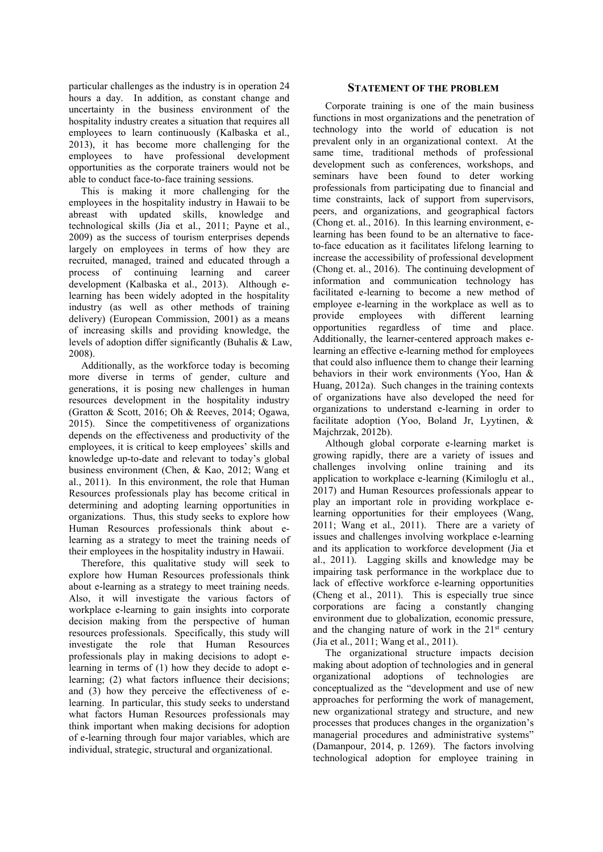particular challenges as the industry is in operation 24 hours a day. In addition, as constant change and uncertainty in the business environment of the hospitality industry creates a situation that requires all employees to learn continuously (Kalbaska et al., 2013), it has become more challenging for the employees to have professional development opportunities as the corporate trainers would not be able to conduct face-to-face training sessions.

This is making it more challenging for the employees in the hospitality industry in Hawaii to be abreast with updated skills, knowledge and technological skills (Jia et al., 2011; Payne et al., 2009) as the success of tourism enterprises depends largely on employees in terms of how they are recruited, managed, trained and educated through a process of continuing learning and career development (Kalbaska et al., 2013). Although elearning has been widely adopted in the hospitality industry (as well as other methods of training delivery) (European Commission, 2001) as a means of increasing skills and providing knowledge, the levels of adoption differ significantly (Buhalis & Law, 2008).

Additionally, as the workforce today is becoming more diverse in terms of gender, culture and generations, it is posing new challenges in human resources development in the hospitality industry (Gratton & Scott, 2016; Oh & Reeves, 2014; Ogawa, 2015). Since the competitiveness of organizations depends on the effectiveness and productivity of the employees, it is critical to keep employees' skills and knowledge up-to-date and relevant to today's global business environment (Chen, & Kao, 2012; Wang et al., 2011). In this environment, the role that Human Resources professionals play has become critical in determining and adopting learning opportunities in organizations. Thus, this study seeks to explore how Human Resources professionals think about elearning as a strategy to meet the training needs of their employees in the hospitality industry in Hawaii.

Therefore, this qualitative study will seek to explore how Human Resources professionals think about e-learning as a strategy to meet training needs. Also, it will investigate the various factors of workplace e-learning to gain insights into corporate decision making from the perspective of human resources professionals. Specifically, this study will investigate the role that Human Resources professionals play in making decisions to adopt elearning in terms of (1) how they decide to adopt elearning; (2) what factors influence their decisions; and (3) how they perceive the effectiveness of elearning. In particular, this study seeks to understand what factors Human Resources professionals may think important when making decisions for adoption of e-learning through four major variables, which are individual, strategic, structural and organizational.

## **STATEMENT OF THE PROBLEM**

Corporate training is one of the main business functions in most organizations and the penetration of technology into the world of education is not prevalent only in an organizational context. At the same time, traditional methods of professional development such as conferences, workshops, and seminars have been found to deter working professionals from participating due to financial and time constraints, lack of support from supervisors, peers, and organizations, and geographical factors (Chong et. al., 2016). In this learning environment, elearning has been found to be an alternative to faceto-face education as it facilitates lifelong learning to increase the accessibility of professional development (Chong et. al., 2016). The continuing development of information and communication technology has facilitated e-learning to become a new method of employee e-learning in the workplace as well as to provide employees with different learning provide employees with different learning opportunities regardless of time and place. Additionally, the learner-centered approach makes elearning an effective e-learning method for employees that could also influence them to change their learning behaviors in their work environments (Yoo, Han & Huang, 2012a). Such changes in the training contexts of organizations have also developed the need for organizations to understand e-learning in order to facilitate adoption (Yoo, Boland Jr, Lyytinen, & Majchrzak, 2012b).

Although global corporate e-learning market is growing rapidly, there are a variety of issues and challenges involving online training and its application to workplace e-learning (Kimiloglu et al., 2017) and Human Resources professionals appear to play an important role in providing workplace elearning opportunities for their employees (Wang, 2011; Wang et al., 2011). There are a variety of issues and challenges involving workplace e-learning and its application to workforce development (Jia et al., 2011). Lagging skills and knowledge may be impairing task performance in the workplace due to lack of effective workforce e-learning opportunities (Cheng et al., 2011). This is especially true since corporations are facing a constantly changing environment due to globalization, economic pressure, and the changing nature of work in the  $21<sup>st</sup>$  century (Jia et al., 2011; Wang et al., 2011).

The organizational structure impacts decision making about adoption of technologies and in general organizational adoptions of technologies are conceptualized as the "development and use of new approaches for performing the work of management, new organizational strategy and structure, and new processes that produces changes in the organization's managerial procedures and administrative systems" (Damanpour, 2014, p. 1269). The factors involving technological adoption for employee training in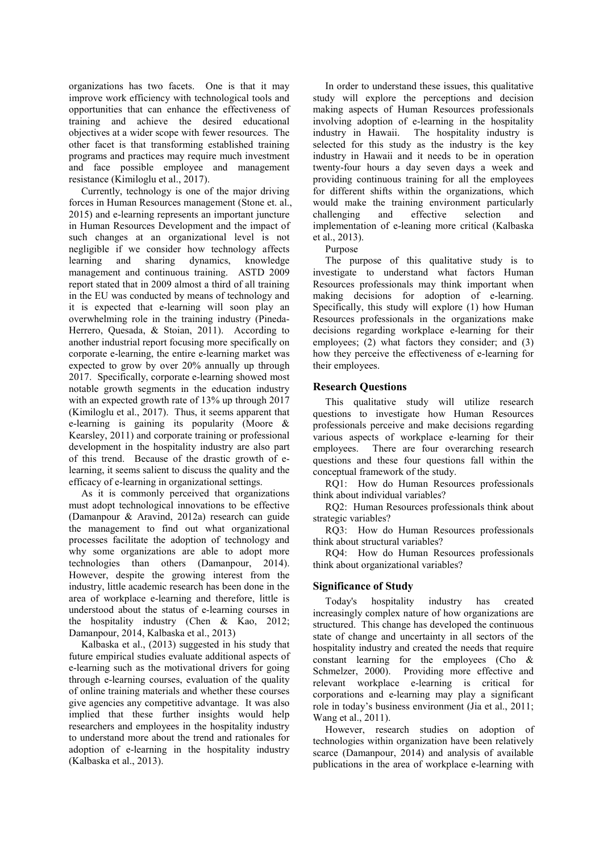organizations has two facets. One is that it may improve work efficiency with technological tools and opportunities that can enhance the effectiveness of training and achieve the desired educational objectives at a wider scope with fewer resources. The other facet is that transforming established training programs and practices may require much investment and face possible employee and management resistance (Kimiloglu et al., 2017).

Currently, technology is one of the major driving forces in Human Resources management (Stone et. al., 2015) and e-learning represents an important juncture in Human Resources Development and the impact of such changes at an organizational level is not negligible if we consider how technology affects learning and sharing dynamics, knowledge management and continuous training. ASTD 2009 report stated that in 2009 almost a third of all training in the EU was conducted by means of technology and it is expected that e-learning will soon play an overwhelming role in the training industry (Pineda-Herrero, Quesada, & Stoian, 2011). According to another industrial report focusing more specifically on corporate e-learning, the entire e-learning market was expected to grow by over 20% annually up through 2017. Specifically, corporate e-learning showed most notable growth segments in the education industry with an expected growth rate of 13% up through 2017 (Kimiloglu et al., 2017). Thus, it seems apparent that e-learning is gaining its popularity (Moore & Kearsley, 2011) and corporate training or professional development in the hospitality industry are also part of this trend. Because of the drastic growth of elearning, it seems salient to discuss the quality and the efficacy of e-learning in organizational settings.

As it is commonly perceived that organizations must adopt technological innovations to be effective (Damanpour & Aravind, 2012a) research can guide the management to find out what organizational processes facilitate the adoption of technology and why some organizations are able to adopt more technologies than others (Damanpour, 2014). However, despite the growing interest from the industry, little academic research has been done in the area of workplace e-learning and therefore, little is understood about the status of e-learning courses in the hospitality industry (Chen & Kao, 2012; Damanpour, 2014, Kalbaska et al., 2013)

Kalbaska et al., (2013) suggested in his study that future empirical studies evaluate additional aspects of e-learning such as the motivational drivers for going through e-learning courses, evaluation of the quality of online training materials and whether these courses give agencies any competitive advantage. It was also implied that these further insights would help researchers and employees in the hospitality industry to understand more about the trend and rationales for adoption of e-learning in the hospitality industry (Kalbaska et al., 2013).

In order to understand these issues, this qualitative study will explore the perceptions and decision making aspects of Human Resources professionals involving adoption of e-learning in the hospitality industry in Hawaii. The hospitality industry is selected for this study as the industry is the key industry in Hawaii and it needs to be in operation twenty-four hours a day seven days a week and providing continuous training for all the employees for different shifts within the organizations, which would make the training environment particularly challenging and effective selection and implementation of e-leaning more critical (Kalbaska et al., 2013).

Purpose

The purpose of this qualitative study is to investigate to understand what factors Human Resources professionals may think important when making decisions for adoption of e-learning. Specifically, this study will explore (1) how Human Resources professionals in the organizations make decisions regarding workplace e-learning for their employees; (2) what factors they consider; and (3) how they perceive the effectiveness of e-learning for their employees.

## **Research Questions**

This qualitative study will utilize research questions to investigate how Human Resources professionals perceive and make decisions regarding various aspects of workplace e-learning for their employees.There are four overarching research questions and these four questions fall within the conceptual framework of the study.

RQ1: How do Human Resources professionals think about individual variables?

RQ2: Human Resources professionals think about strategic variables?

RQ3: How do Human Resources professionals think about structural variables?

RQ4: How do Human Resources professionals think about organizational variables?

#### **Significance of Study**

Today's hospitality industry has created increasingly complex nature of how organizations are structured. This change has developed the continuous state of change and uncertainty in all sectors of the hospitality industry and created the needs that require constant learning for the employees (Cho & Schmelzer, 2000). Providing more effective and relevant workplace e-learning is critical for corporations and e-learning may play a significant role in today's business environment (Jia et al., 2011; Wang et al., 2011).

However, research studies on adoption of technologies within organization have been relatively scarce (Damanpour, 2014) and analysis of available publications in the area of workplace e-learning with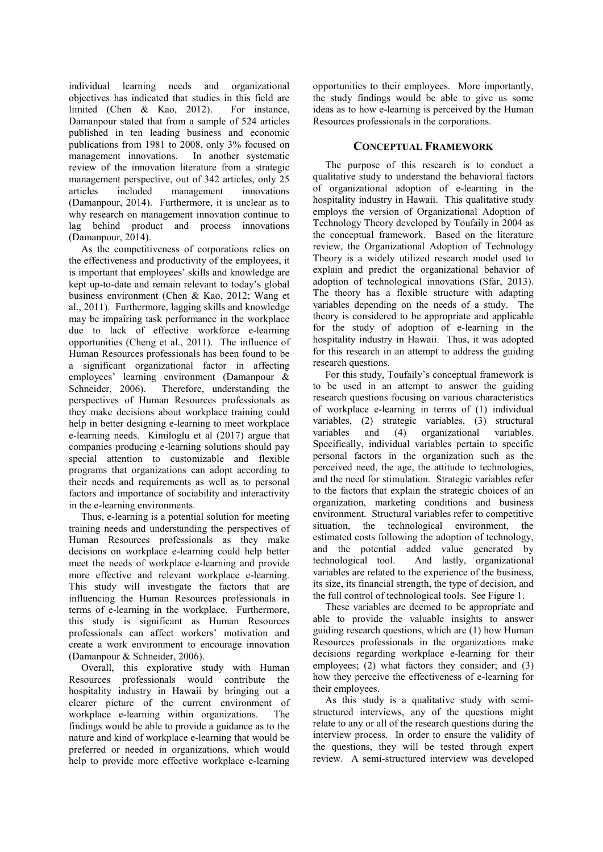individual learning needs and organizational objectives has indicated that studies in this field are limited (Chen & Kao, 2012). For instance, limited (Chen & Kao, 2012). Damanpour stated that from a sample of 524 articles published in ten leading business and economic publications from 1981 to 2008, only 3% focused on management innovations. In another systematic review of the innovation literature from a strategic management perspective, out of 342 articles, only 25 articles included management innovations (Damanpour, 2014). Furthermore, it is unclear as to why research on management innovation continue to lag behind product and process innovations (Damanpour, 2014).

As the competitiveness of corporations relies on the effectiveness and productivity of the employees, it is important that employees' skills and knowledge are kept up-to-date and remain relevant to today's global business environment (Chen & Kao, 2012; Wang et al., 2011). Furthermore, lagging skills and knowledge may be impairing task performance in the workplace due to lack of effective workforce e-learning opportunities (Cheng et al., 2011). The influence of Human Resources professionals has been found to be a significant organizational factor in affecting employees' learning environment (Damanpour & Schneider, 2006). Therefore, understanding the perspectives of Human Resources professionals as they make decisions about workplace training could help in better designing e-learning to meet workplace e-learning needs. Kimiloglu et al (2017) argue that companies producing e-learning solutions should pay special attention to customizable and flexible programs that organizations can adopt according to their needs and requirements as well as to personal factors and importance of sociability and interactivity in the e-learning environments.

Thus, e-learning is a potential solution for meeting training needs and understanding the perspectives of Human Resources professionals as they make decisions on workplace e-learning could help better meet the needs of workplace e-learning and provide more effective and relevant workplace e-learning. This study will investigate the factors that are influencing the Human Resources professionals in terms of e-learning in the workplace. Furthermore, this study is significant as Human Resources professionals can affect workers' motivation and create a work environment to encourage innovation (Damanpour & Schneider, 2006).

Overall, this explorative study with Human Resources professionals would contribute the hospitality industry in Hawaii by bringing out a clearer picture of the current environment of workplace e-learning within organizations. The findings would be able to provide a guidance as to the nature and kind of workplace e-learning that would be preferred or needed in organizations, which would help to provide more effective workplace e-learning opportunities to their employees. More importantly, the study findings would be able to give us some ideas as to how e-learning is perceived by the Human Resources professionals in the corporations.

## **CONCEPTUAL FRAMEWORK**

The purpose of this research is to conduct a qualitative study to understand the behavioral factors of organizational adoption of e-learning in the hospitality industry in Hawaii. This qualitative study employs the version of Organizational Adoption of Technology Theory developed by Toufaily in 2004 as the conceptual framework. Based on the literature review, the Organizational Adoption of Technology Theory is a widely utilized research model used to explain and predict the organizational behavior of adoption of technological innovations (Sfar, 2013). The theory has a flexible structure with adapting variables depending on the needs of a study. The theory is considered to be appropriate and applicable for the study of adoption of e-learning in the hospitality industry in Hawaii. Thus, it was adopted for this research in an attempt to address the guiding research questions.

For this study, Toufaily's conceptual framework is to be used in an attempt to answer the guiding research questions focusing on various characteristics of workplace e-learning in terms of (1) individual variables, (2) strategic variables, (3) structural variables and (4) organizational variables. Specifically, individual variables pertain to specific personal factors in the organization such as the perceived need, the age, the attitude to technologies, and the need for stimulation. Strategic variables refer to the factors that explain the strategic choices of an organization, marketing conditions and business environment. Structural variables refer to competitive situation, the technological environment, the estimated costs following the adoption of technology, and the potential added value generated by<br>technological tool. And lastly, organizational And lastly, organizational variables are related to the experience of the business, its size, its financial strength, the type of decision, and the full control of technological tools. See Figure 1.

These variables are deemed to be appropriate and able to provide the valuable insights to answer guiding research questions, which are (1) how Human Resources professionals in the organizations make decisions regarding workplace e-learning for their employees; (2) what factors they consider; and (3) how they perceive the effectiveness of e-learning for their employees.

As this study is a qualitative study with semistructured interviews, any of the questions might relate to any or all of the research questions during the interview process. In order to ensure the validity of the questions, they will be tested through expert review. A semi-structured interview was developed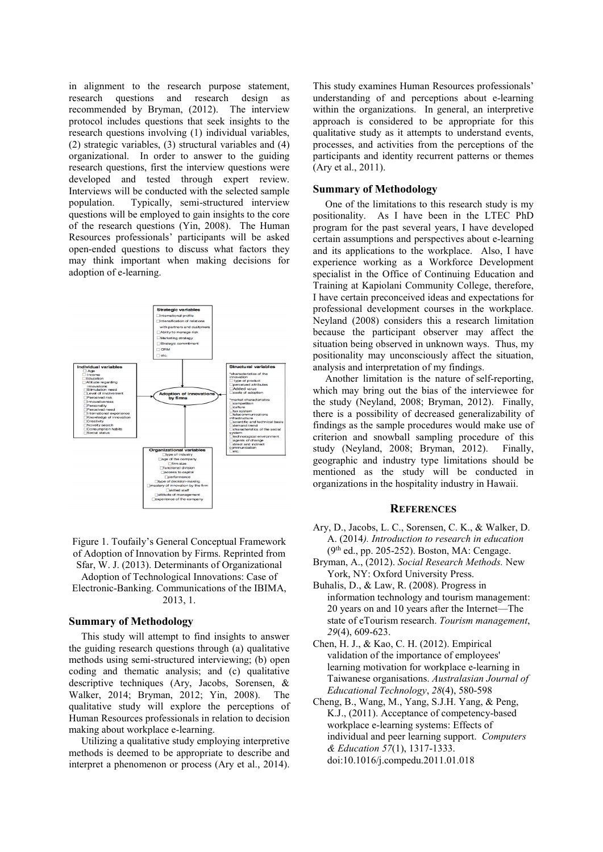in alignment to the research purpose statement, research questions and research design as recommended by Bryman, (2012). The interview protocol includes questions that seek insights to the research questions involving (1) individual variables, (2) strategic variables, (3) structural variables and (4) organizational. In order to answer to the guiding research questions, first the interview questions were developed and tested through expert review. Interviews will be conducted with the selected sample population. Typically, semi-structured interview questions will be employed to gain insights to the core of the research questions (Yin, 2008). The Human Resources professionals' participants will be asked open-ended questions to discuss what factors they may think important when making decisions for adoption of e-learning.



Figure 1. Toufaily's General Conceptual Framework of Adoption of Innovation by Firms. Reprinted from Sfar, W. J. (2013). Determinants of Organizational

Adoption of Technological Innovations: Case of Electronic-Banking. Communications of the IBIMA, 2013, 1.

#### **Summary of Methodology**

This study will attempt to find insights to answer the guiding research questions through (a) qualitative methods using semi-structured interviewing; (b) open coding and thematic analysis; and (c) qualitative descriptive techniques (Ary, Jacobs, Sorensen, & Walker, 2014; Bryman, 2012; Yin, 2008). The qualitative study will explore the perceptions of Human Resources professionals in relation to decision making about workplace e-learning.

Utilizing a qualitative study employing interpretive methods is deemed to be appropriate to describe and interpret a phenomenon or process (Ary et al., 2014).

This study examines Human Resources professionals' understanding of and perceptions about e-learning within the organizations. In general, an interpretive approach is considered to be appropriate for this qualitative study as it attempts to understand events, processes, and activities from the perceptions of the participants and identity recurrent patterns or themes (Ary et al., 2011).

### **Summary of Methodology**

One of the limitations to this research study is my positionality. As I have been in the LTEC PhD program for the past several years, I have developed certain assumptions and perspectives about e-learning and its applications to the workplace. Also, I have experience working as a Workforce Development specialist in the Office of Continuing Education and Training at Kapiolani Community College, therefore, I have certain preconceived ideas and expectations for professional development courses in the workplace. Neyland (2008) considers this a research limitation because the participant observer may affect the situation being observed in unknown ways. Thus, my positionality may unconsciously affect the situation, analysis and interpretation of my findings.

Another limitation is the nature of self-reporting, which may bring out the bias of the interviewee for the study (Neyland, 2008; Bryman, 2012). Finally, there is a possibility of decreased generalizability of findings as the sample procedures would make use of criterion and snowball sampling procedure of this study (Neyland, 2008; Bryman, 2012). Finally, geographic and industry type limitations should be mentioned as the study will be conducted in organizations in the hospitality industry in Hawaii.

## **REFERENCES**

- Ary, D., Jacobs, L. C., Sorensen, C. K., & Walker, D. A. (2014*). Introduction to research in education*  $(9<sup>th</sup>$  ed., pp. 205-252). Boston, MA: Cengage.
- Bryman, A., (2012). *Social Research Methods.* New York, NY: Oxford University Press.
- Buhalis, D., & Law, R. (2008). Progress in information technology and tourism management: 20 years on and 10 years after the Internet—The state of eTourism research. *Tourism management*, *29*(4), 609-623.
- Chen, H. J., & Kao, C. H. (2012). Empirical validation of the importance of employees' learning motivation for workplace e-learning in Taiwanese organisations. *Australasian Journal of Educational Technology*, *28*(4), 580-598
- Cheng, B., Wang, M., Yang, S.J.H. Yang, & Peng, K.J., (2011). Acceptance of competency-based workplace e-learning systems: Effects of individual and peer learning support. *Computers & Education 57*(1), 1317-1333. doi:10.1016/j.compedu.2011.01.018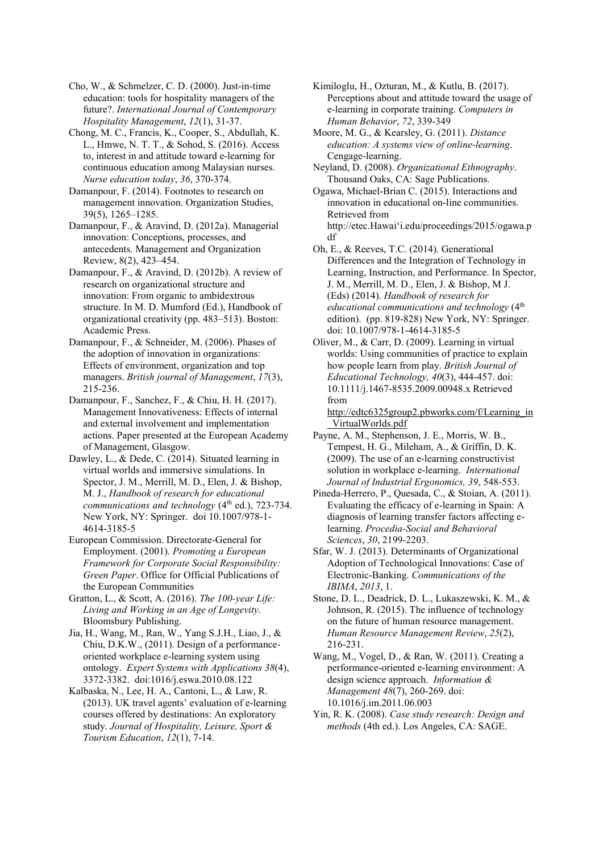Cho, W., & Schmelzer, C. D. (2000). Just-in-time education: tools for hospitality managers of the future?. *International Journal of Contemporary Hospitality Management*, *12*(1), 31-37.

Chong, M. C., Francis, K., Cooper, S., Abdullah, K. L., Hmwe, N. T. T., & Sohod, S. (2016). Access to, interest in and attitude toward e-learning for continuous education among Malaysian nurses. *Nurse education today*, *36*, 370-374.

Damanpour, F. (2014). Footnotes to research on management innovation. Organization Studies, 39(5), 1265–1285.

Damanpour, F., & Aravind, D. (2012a). Managerial innovation: Conceptions, processes, and antecedents. Management and Organization Review, 8(2), 423–454.

Damanpour, F., & Aravind, D. (2012b). A review of research on organizational structure and innovation: From organic to ambidextrous structure. In M. D. Mumford (Ed.), Handbook of organizational creativity (pp. 483–513). Boston: Academic Press.

Damanpour, F., & Schneider, M. (2006). Phases of the adoption of innovation in organizations: Effects of environment, organization and top managers. *British journal of Management*, *17*(3), 215-236.

Damanpour, F., Sanchez, F., & Chiu, H. H. (2017). Management Innovativeness: Effects of internal and external involvement and implementation actions. Paper presented at the European Academy of Management, Glasgow.

Dawley, L., & Dede, C. (2014). Situated learning in virtual worlds and immersive simulations. In Spector, J. M., Merrill, M. D., Elen, J. & Bishop, M. J., *Handbook of research for educational communications and technology* (4<sup>th</sup> ed.), 723-734. New York, NY: Springer. doi 10.1007/978-1- 4614-3185-5

European Commission. Directorate-General for Employment. (2001). *Promoting a European Framework for Corporate Social Responsibility: Green Paper*. Office for Official Publications of the European Communities

Gratton, L., & Scott, A. (2016). *The 100-year Life: Living and Working in an Age of Longevity*. Bloomsbury Publishing.

Jia, H., Wang, M., Ran, W., Yang S.J.H., Liao, J., & Chiu, D.K.W., (2011). Design of a performanceoriented workplace e-learning system using ontology. *Expert Systems with Applications 38*(4), 3372-3382. doi:1016/j.eswa.2010.08.122

Kalbaska, N., Lee, H. A., Cantoni, L., & Law, R. (2013). UK travel agents' evaluation of e-learning courses offered by destinations: An exploratory study. *Journal of Hospitality, Leisure, Sport & Tourism Education*, *12*(1), 7-14.

Kimiloglu, H., Ozturan, M., & Kutlu, B. (2017). Perceptions about and attitude toward the usage of e-learning in corporate training. *Computers in Human Behavior*, *72*, 339-349

Moore, M. G., & Kearsley, G. (2011). *Distance education: A systems view of online-learning*. Cengage-learning.

Neyland, D. (2008). *Organizational Ethnography*. Thousand Oaks, CA: Sage Publications.

Ogawa, Michael-Brian C. (2015). Interactions and innovation in educational on-line communities. Retrieved from http://etec.Hawai'i.edu/proceedings/2015/ogawa.p df

Oh, E., & Reeves, T.C. (2014). Generational Differences and the Integration of Technology in Learning, Instruction, and Performance. In Spector, J. M., Merrill, M. D., Elen, J. & Bishop, M J. (Eds) (2014). *Handbook of research for educational communications and technology* (4th edition). (pp. 819-828) New York, NY: Springer. doi: 10.1007/978-1-4614-3185-5

Oliver, M., & Carr, D. (2009). Learning in virtual worlds: Using communities of practice to explain how people learn from play. *British Journal of Educational Technology, 40*(3), 444-457. doi: 10.1111/j.1467-8535.2009.00948.x Retrieved from

http://edtc6325group2.pbworks.com/f/Learning\_in \_VirtualWorlds.pdf

Payne, A. M., Stephenson, J. E., Morris, W. B., Tempest, H. G., Mileham, A., & Griffin, D. K. (2009). The use of an e-learning constructivist solution in workplace e-learning. *International Journal of Industrial Ergonomics, 39*, 548-553.

Pineda-Herrero, P., Quesada, C., & Stoian, A. (2011). Evaluating the efficacy of e-learning in Spain: A diagnosis of learning transfer factors affecting elearning. *Procedia-Social and Behavioral Sciences*, *30*, 2199-2203.

Sfar, W. J. (2013). Determinants of Organizational Adoption of Technological Innovations: Case of Electronic-Banking. *Communications of the IBIMA*, *2013*, 1.

Stone, D. L., Deadrick, D. L., Lukaszewski, K. M., & Johnson, R. (2015). The influence of technology on the future of human resource management. *Human Resource Management Review*, *25*(2), 216-231.

Wang, M., Vogel, D., & Ran, W. (2011). Creating a performance-oriented e-learning environment: A design science approach. *Information & Management 48*(7), 260-269. doi: 10.1016/j.im.2011.06.003

Yin, R. K. (2008). *Case study research: Design and methods* (4th ed.). Los Angeles, CA: SAGE.